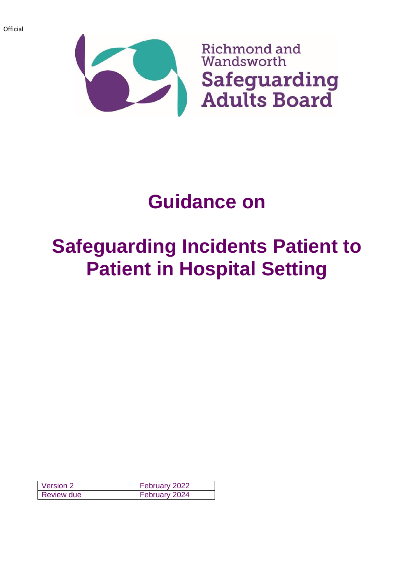

# **Guidance on**

# **Safeguarding Incidents Patient to Patient in Hospital Setting**

| Version 2         | February 2022 |
|-------------------|---------------|
| <b>Review due</b> | February 2024 |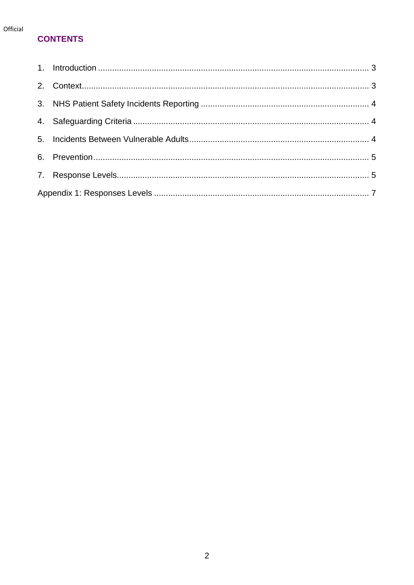#### Official

#### **CONTENTS**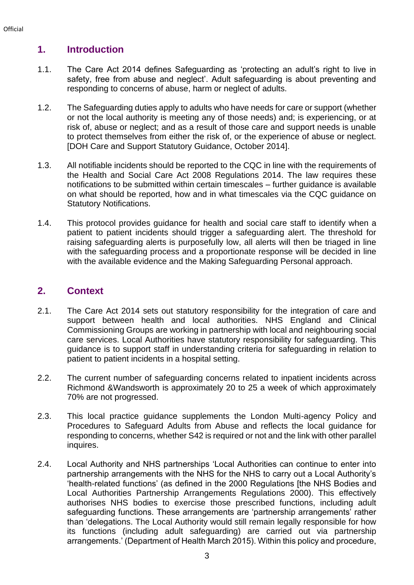#### <span id="page-2-0"></span>**1. Introduction**

- 1.1. The Care Act 2014 defines Safeguarding as 'protecting an adult's right to live in safety, free from abuse and neglect'. Adult safeguarding is about preventing and responding to concerns of abuse, harm or neglect of adults.
- 1.2. The Safeguarding duties apply to adults who have needs for care or support (whether or not the local authority is meeting any of those needs) and; is experiencing, or at risk of, abuse or neglect; and as a result of those care and support needs is unable to protect themselves from either the risk of, or the experience of abuse or neglect. [DOH Care and Support Statutory Guidance, October 2014].
- 1.3. All notifiable incidents should be reported to the CQC in line with the requirements of the Health and Social Care Act 2008 Regulations 2014. The law requires these notifications to be submitted within certain timescales – further guidance is available on what should be reported, how and in what timescales via the CQC guidance on Statutory Notifications.
- 1.4. This protocol provides guidance for health and social care staff to identify when a patient to patient incidents should trigger a safeguarding alert. The threshold for raising safeguarding alerts is purposefully low, all alerts will then be triaged in line with the safeguarding process and a proportionate response will be decided in line with the available evidence and the Making Safeguarding Personal approach.

#### <span id="page-2-1"></span>**2. Context**

- 2.1. The Care Act 2014 sets out statutory responsibility for the integration of care and support between health and local authorities. NHS England and Clinical Commissioning Groups are working in partnership with local and neighbouring social care services. Local Authorities have statutory responsibility for safeguarding. This guidance is to support staff in understanding criteria for safeguarding in relation to patient to patient incidents in a hospital setting.
- 2.2. The current number of safeguarding concerns related to inpatient incidents across Richmond &Wandsworth is approximately 20 to 25 a week of which approximately 70% are not progressed.
- 2.3. This local practice guidance supplements the London Multi-agency Policy and Procedures to Safeguard Adults from Abuse and reflects the local guidance for responding to concerns, whether S42 is required or not and the link with other parallel inquires.
- 2.4. Local Authority and NHS partnerships 'Local Authorities can continue to enter into partnership arrangements with the NHS for the NHS to carry out a Local Authority's 'health-related functions' (as defined in the 2000 Regulations [the NHS Bodies and Local Authorities Partnership Arrangements Regulations 2000). This effectively authorises NHS bodies to exercise those prescribed functions, including adult safeguarding functions. These arrangements are 'partnership arrangements' rather than 'delegations. The Local Authority would still remain legally responsible for how its functions (including adult safeguarding) are carried out via partnership arrangements.' (Department of Health March 2015). Within this policy and procedure,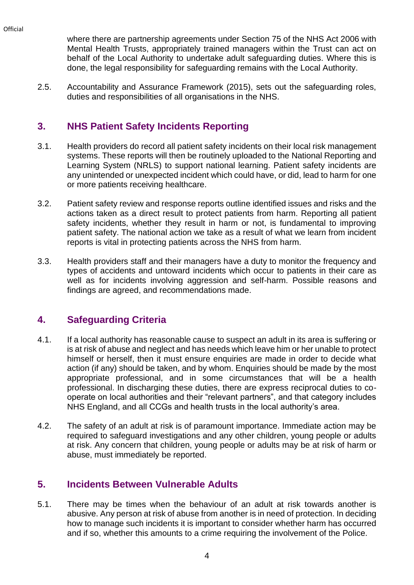**Official** 

where there are partnership agreements under Section 75 of the NHS Act 2006 with Mental Health Trusts, appropriately trained managers within the Trust can act on behalf of the Local Authority to undertake adult safeguarding duties. Where this is done, the legal responsibility for safeguarding remains with the Local Authority.

2.5. Accountability and Assurance Framework (2015), sets out the safeguarding roles, duties and responsibilities of all organisations in the NHS.

#### <span id="page-3-0"></span>**3. NHS Patient Safety Incidents Reporting**

- 3.1. Health providers do record all patient safety incidents on their local risk management systems. These reports will then be routinely uploaded to the National Reporting and Learning System (NRLS) to support national learning. Patient safety incidents are any unintended or unexpected incident which could have, or did, lead to harm for one or more patients receiving healthcare.
- 3.2. Patient safety review and response reports outline identified issues and risks and the actions taken as a direct result to protect patients from harm. Reporting all patient safety incidents, whether they result in harm or not, is fundamental to improving patient safety. The national action we take as a result of what we learn from incident reports is vital in protecting patients across the NHS from harm.
- 3.3. Health providers staff and their managers have a duty to monitor the frequency and types of accidents and untoward incidents which occur to patients in their care as well as for incidents involving aggression and self-harm. Possible reasons and findings are agreed, and recommendations made.

#### <span id="page-3-1"></span>**4. Safeguarding Criteria**

- 4.1. If a local authority has reasonable cause to suspect an adult in its area is suffering or is at risk of abuse and neglect and has needs which leave him or her unable to protect himself or herself, then it must ensure enquiries are made in order to decide what action (if any) should be taken, and by whom. Enquiries should be made by the most appropriate professional, and in some circumstances that will be a health professional. In discharging these duties, there are express reciprocal duties to cooperate on local authorities and their "relevant partners", and that category includes NHS England, and all CCGs and health trusts in the local authority's area.
- 4.2. The safety of an adult at risk is of paramount importance. Immediate action may be required to safeguard investigations and any other children, young people or adults at risk. Any concern that children, young people or adults may be at risk of harm or abuse, must immediately be reported.

### <span id="page-3-2"></span>**5. Incidents Between Vulnerable Adults**

5.1. There may be times when the behaviour of an adult at risk towards another is abusive. Any person at risk of abuse from another is in need of protection. In deciding how to manage such incidents it is important to consider whether harm has occurred and if so, whether this amounts to a crime requiring the involvement of the Police.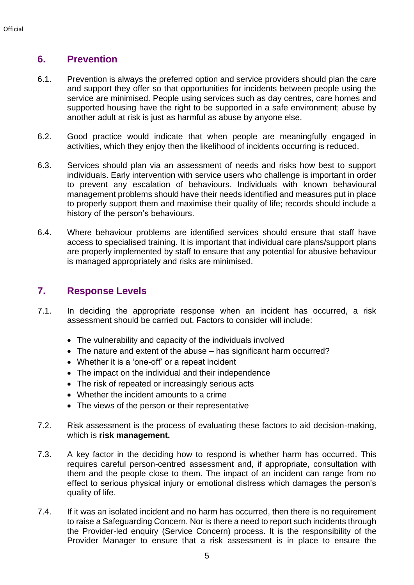#### <span id="page-4-0"></span>**6. Prevention**

- 6.1. Prevention is always the preferred option and service providers should plan the care and support they offer so that opportunities for incidents between people using the service are minimised. People using services such as day centres, care homes and supported housing have the right to be supported in a safe environment; abuse by another adult at risk is just as harmful as abuse by anyone else.
- 6.2. Good practice would indicate that when people are meaningfully engaged in activities, which they enjoy then the likelihood of incidents occurring is reduced.
- 6.3. Services should plan via an assessment of needs and risks how best to support individuals. Early intervention with service users who challenge is important in order to prevent any escalation of behaviours. Individuals with known behavioural management problems should have their needs identified and measures put in place to properly support them and maximise their quality of life; records should include a history of the person's behaviours.
- 6.4. Where behaviour problems are identified services should ensure that staff have access to specialised training. It is important that individual care plans/support plans are properly implemented by staff to ensure that any potential for abusive behaviour is managed appropriately and risks are minimised.

#### <span id="page-4-1"></span>**7. Response Levels**

- 7.1. In deciding the appropriate response when an incident has occurred, a risk assessment should be carried out. Factors to consider will include:
	- The vulnerability and capacity of the individuals involved
	- The nature and extent of the abuse has significant harm occurred?
	- Whether it is a 'one-off' or a repeat incident
	- The impact on the individual and their independence
	- The risk of repeated or increasingly serious acts
	- Whether the incident amounts to a crime
	- The views of the person or their representative
- 7.2. Risk assessment is the process of evaluating these factors to aid decision-making, which is **risk management.**
- 7.3. A key factor in the deciding how to respond is whether harm has occurred. This requires careful person-centred assessment and, if appropriate, consultation with them and the people close to them. The impact of an incident can range from no effect to serious physical injury or emotional distress which damages the person's quality of life.
- 7.4. If it was an isolated incident and no harm has occurred, then there is no requirement to raise a Safeguarding Concern. Nor is there a need to report such incidents through the Provider-led enquiry (Service Concern) process. It is the responsibility of the Provider Manager to ensure that a risk assessment is in place to ensure the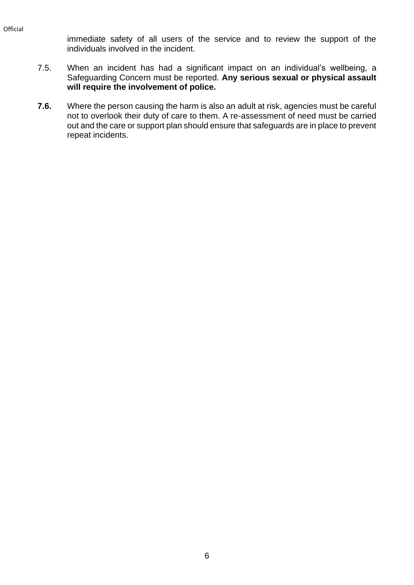Official

immediate safety of all users of the service and to review the support of the individuals involved in the incident.

- 7.5. When an incident has had a significant impact on an individual's wellbeing, a Safeguarding Concern must be reported. **Any serious sexual or physical assault will require the involvement of police.**
- **7.6.** Where the person causing the harm is also an adult at risk, agencies must be careful not to overlook their duty of care to them. A re-assessment of need must be carried out and the care or support plan should ensure that safeguards are in place to prevent repeat incidents.